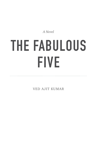*A Novel* 

# **THE FABULOUS FIVE**

VED AJIT KUMAR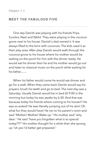## **MEET THE FABULOUS FIVE**

One day Danish was playing with his friends Priya, Sumitra, Neel and Nikhil. They were playing in the coconut grove next to his house. Danish's dad owned it. It was always filled to the brim with coconuts. The kids used it as their play area. After play Danish would walk through the coconut grove to his house where his mother would be waiting on the porch for him with the dinner ready. He would eat his dinner then he and his mother would go out and listen to classical music on the porch while waiting for his father.......

When his father would come he would eat dinner and go for a walk. When they came back Danish would say his prayers, brush his teeth and go to bed. The next day was a Saturday. Usually Danish would be in bed till 9:00 in the morning but today he was awake by 6:30. And that was because today his friends where coming to his house!!! He was so exited! He was literally jumping out of his skin! Oh what fun they would have! He ran to his parent's room and said "Mother! Mother! Wake up." His mother said "why dear." He said "have you forgotten what is so special today???" His mother thought for a while then she sprang up "oh yes I'd better get prepared."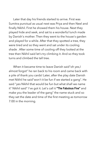Later that day his friends started to arrive. First was Sumitra punctual as usual next was Priya and then Neel and finally Nikhil. First he showed them his house. Next they played hide and seek, and sat to a wonderful lunch made by Danish's mother. Then they went to the house's garden and played for a while. After that they spotted a tree, they were tired and so they went and sat under its cooling shade . After some time of cooling off they looked at the tree then Nikhil said let's try climbing it. And so they took turns and climbed the tall tree.

When it became time to leave Danish said"oh yes,I almost forgot" he ran back to his room and came back with a pile of thank you cards! Later, after the play date Danish met Nikhil he said"won't it be fun if we started a gang". He said "yes Nikhil that would be fun but what shall we name it" Nikhil said" I've got it. Let's call it **"The Fabulous Five"** and make you the leader of the gang" the name stuck and so they set the date and time of the first meeting as tomorrow 7:00 in the morning.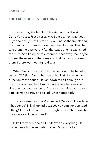## **THE FABULOUS FIVE MEETING**

The next day the fabulous five started to arrive at Danish's house. First as usual was Sumitra, next was Neel, Priya and finally Nikhil, late as usual. And so the five started the meeting first Danish gave them their badges. Then he told them the password. After that was done he explained the rules. And finally he told them to meet every Monday to

discuss the events of the week and that he would inform them if there was nothing to discus

When Nikhil was coming home he thought he heard a sound. CRASH!!! Now what could that be? He ran in the direction of the sound. He ran down the hill through old town, he soon reached town square where he took a left. He soon reached the scene. A trucker had hit a car! He saw a policeman nearby and asked "what happened?"

The policeman said" we're puzzled. We don't know how it happened" Nikhil looked puzzled. He hadn't understood a thing! The policeman heaved a sigh he said "here watch this video you'll understand"

Nikhil saw the video and understood everything. He rushed back home and telephoned Danish. He told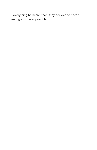everything he heard, then, they decided to have a meeting as soon as possible.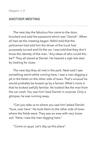#### *Chapter 1.3*

## **ANOTHER MEETING**

The next day the fabulous five came to the door, knocked and said the password which was" Danish". When all had sat the meeting began. Nikhil told that the policeman had told him the driver of the truck had purposely turned and hit the car. I was told that they don't know the identity of the man. "Any ideas of who could this be?" They all stared at Danish. He heaved a sigh lets start by looking for clues.

The next day they all met in the park. Neel said I saw something weird while coming here, I saw a man digging a pit in the fields on the other side of town. That's unusual he would probably be boxed up by a farmer. What's more is that he looked awfully familiar. He looked like the man from the car crash. You saw him! Said Danish in surprise. Only a glimpse, he was running away.

"Can you take us to where you saw him"asked Danish. "Sure, over here." He took them to the other side of town where the fields were. They saw an area with very loose soil. "Here, I saw the man digging here."

"Come on guys. Let's dig up this place".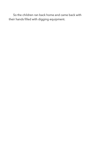So the children ran back home and came back with their hands filled with digging equipment.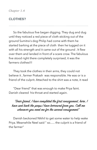*Chapter 1.4* 

## **CLOTHES?**

So the fabulous five began digging. They dug and dug until they noticed a red piece of cloth sticking out of the ground Sumitra's dog Philip had come with them he started barking at the piece of cloth then he tugged on it with all his strength and it came out of the ground . It flew over them and landed in front of a scare crow. The fabulous five stood right there completely surprised, it was the farmers clothes!!!

They took the clothes in their arms, they could not believe it , farmer Prakash was responsible. He was or is a friend of the culprit. Attached to the shirt was a note, it read

"Dear friend" that was enough to make Priya faint. Danish cleared his throat and started again.

## "Dear friend, I have completed the first consignment, here, I have sent back the props I have borrowed from you. Call me whenever you need me for the second consignment"

Danish beckoned Nikhil to get some water to help wake Priya. Meanwhile Neel said " so...... the culprit is a friend of the farmer"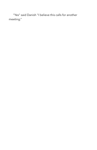"Yes" said Danish "I believe this calls for another meeting."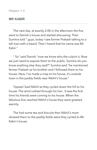*Chapter 1.5* 

#### **MR KABIR**

The next day, at exactly 2:00 in the afternoon the five went to Danish's house and started discussing. Then Sumitra told " guys, today I saw farmer Prakash talking to a tall man with a beard. Then I heard that his name was Mr. Kabir."

" So" said Danish "now we know who the culprit is. Now we just need to expose them to the public. Sumitra do you know anything else they said?" Sumitra said "he mentioned farmer Prakash as his brother and I followed them to his house. Here, I've made a map to his house, it's outside town in the paddy fields near Nikhil's house."

Yippee! Said Nikhil as they cycled down the hill to his house. The wind rushed through his hair . It was the first time his friends were coming to his house. When the fabulous five reached Nikhil's house they were greeted warmly.

The had some tea and biscuits then Nikhil's mom showed them to the paddy fields were they cycled to Mr. Kabir's house.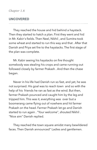#### **UNCOVERED**

They reached the house and hid behind a haystack. Then they started to hatch a plan. First they went and hid in Mr. Kabir's fields. Then Neel, Nikhil , and Sumitra took some wheat and started to run this way and that . After that Danish and Priya set fire to the haystacks. The first stage of the plan was complete.

Mr. Kabir seeing his haystacks on fire thought somebody was stealing his crops and came running out followed closely by farmer Prakash. And then the chase began.

Never in his life had Danish run so fast, and yet, he was not surprised. His goal was to reach town and so with the help of his friends he ran as fast as the wind. But then, farmer Prakash pounced and caught him by the leg and tripped him. This was it, everything was over but a boomerang came flying out of nowhere and hit farmer Prakash on the head. Farmer Prakash let go and Danish started to run again . "Your welcome", shouted Nikhil . "Nice aim" Danish replied.

They reached the town square amidst many bewildered faces. Then Danish announced" Ladies and gentlemen.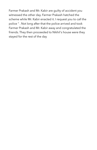Farmer Prakash and Mr. Kabir are guilty of accident you witnessed the other day. Farmer Prakash hatched the scheme while Mr. Kabir enacted it. I request you to call the police " . Not long after that the police arrived and took Farmer Prakash and Mr. Kabir away and congratulated the friends. They then proceeded to Nikhil's house were they stayed for the rest of the day